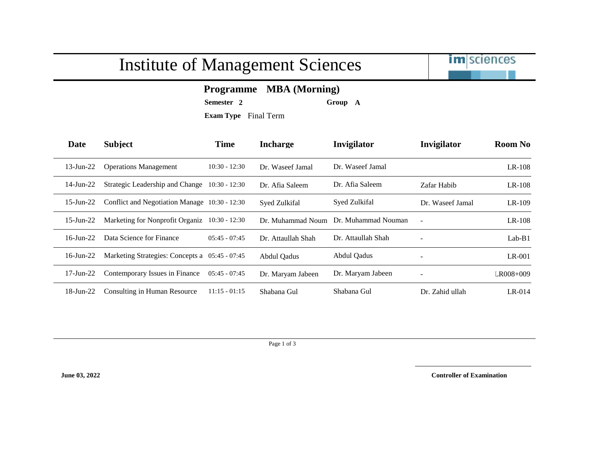## Institute of Management Sciences



## **Programme MBA (Morning)**

**Semester 2 Group A**

**Exam Type** Final Term

| Date            | <b>Subject</b>                                 | <b>Time</b>     | <b>Incharge</b>    | Invigilator         | Invigilator              | <b>Room No</b> |
|-----------------|------------------------------------------------|-----------------|--------------------|---------------------|--------------------------|----------------|
| $13$ -Jun-22    | <b>Operations Management</b>                   | $10:30 - 12:30$ | Dr. Waseef Jamal   | Dr. Waseef Jamal    |                          | $LR-108$       |
| $14$ -Jun-22    | Strategic Leadership and Change                | $10:30 - 12:30$ | Dr. Afia Saleem    | Dr. Afia Saleem     | Zafar Habib              | $LR-108$       |
| $15$ -Jun-22    | Conflict and Negotiation Manage 10:30 - 12:30  |                 | Syed Zulkifal      | Syed Zulkifal       | Dr. Waseef Jamal         | $LR-109$       |
| $15$ -Jun-22    | Marketing for Nonprofit Organiz 10:30 - 12:30  |                 | Dr. Muhammad Noum  | Dr. Muhammad Nouman | $\sim$                   | $LR-108$       |
| $16$ -Jun-22    | Data Science for Finance                       | $05:45 - 07:45$ | Dr. Attaullah Shah | Dr. Attaullah Shah  | $\overline{\phantom{a}}$ | $Lab-B1$       |
| $16$ -Jun-22    | Marketing Strategies: Concepts a 05:45 - 07:45 |                 | Abdul Qadus        | Abdul Qadus         | $\overline{\phantom{a}}$ | $LR-001$       |
| $17$ -Jun- $22$ | Contemporary Issues in Finance                 | $05:45 - 07:45$ | Dr. Maryam Jabeen  | Dr. Maryam Jabeen   |                          | LR008+009      |
| $18$ -Jun-22    | Consulting in Human Resource                   | $11:15 - 01:15$ | Shabana Gul        | Shabana Gul         | Dr. Zahid ullah          | $LR-014$       |

Page 1 of 3

**June 03, 2022 Controller of Examination**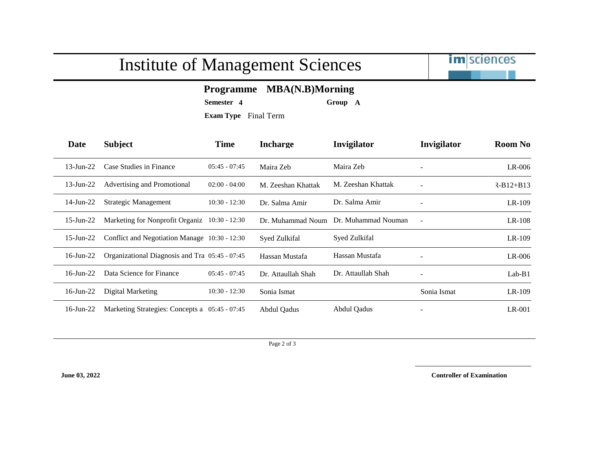## Institute of Management Sciences



## **Programme MBA(N.B)Morning**

**Semester 4 Group A**

**Exam Type** Final Term

| Date            | <b>Subject</b>                                 | <b>Time</b>     | <b>Incharge</b>    | Invigilator         | Invigilator              | <b>Room No</b> |
|-----------------|------------------------------------------------|-----------------|--------------------|---------------------|--------------------------|----------------|
| $13$ -Jun-22    | Case Studies in Finance                        | $05:45 - 07:45$ | Maira Zeb          | Maira Zeb           | $\overline{\phantom{a}}$ | $LR-006$       |
| $13$ -Jun-22    | Advertising and Promotional                    | $02:00 - 04:00$ | M. Zeeshan Khattak | M. Zeeshan Khattak  |                          | $R-B12+B13$    |
| $14$ -Jun-22    | Strategic Management                           | $10:30 - 12:30$ | Dr. Salma Amir     | Dr. Salma Amir      | $\overline{\phantom{a}}$ | $LR-109$       |
| $15$ -Jun-22    | Marketing for Nonprofit Organiz 10:30 - 12:30  |                 | Dr. Muhammad Noum  | Dr. Muhammad Nouman | $\blacksquare$           | $LR-108$       |
| $15$ -Jun-22    | Conflict and Negotiation Manage 10:30 - 12:30  |                 | Syed Zulkifal      | Syed Zulkifal       |                          | $LR-109$       |
| $16$ -Jun-22    | Organizational Diagnosis and Tra 05:45 - 07:45 |                 | Hassan Mustafa     | Hassan Mustafa      |                          | $LR-006$       |
| $16$ -Jun-22    | Data Science for Finance                       | $05:45 - 07:45$ | Dr. Attaullah Shah | Dr. Attaullah Shah  | $\overline{\phantom{a}}$ | $Lab-B1$       |
| $16$ -Jun-22    | Digital Marketing                              | $10:30 - 12:30$ | Sonia Ismat        |                     | Sonia Ismat              | $LR-109$       |
| $16$ -Jun- $22$ | Marketing Strategies: Concepts a 05:45 - 07:45 |                 | Abdul Qadus        | Abdul Qadus         |                          | LR-001         |

Page 2 of 3

**June 03, 2022 Controller of Examination**